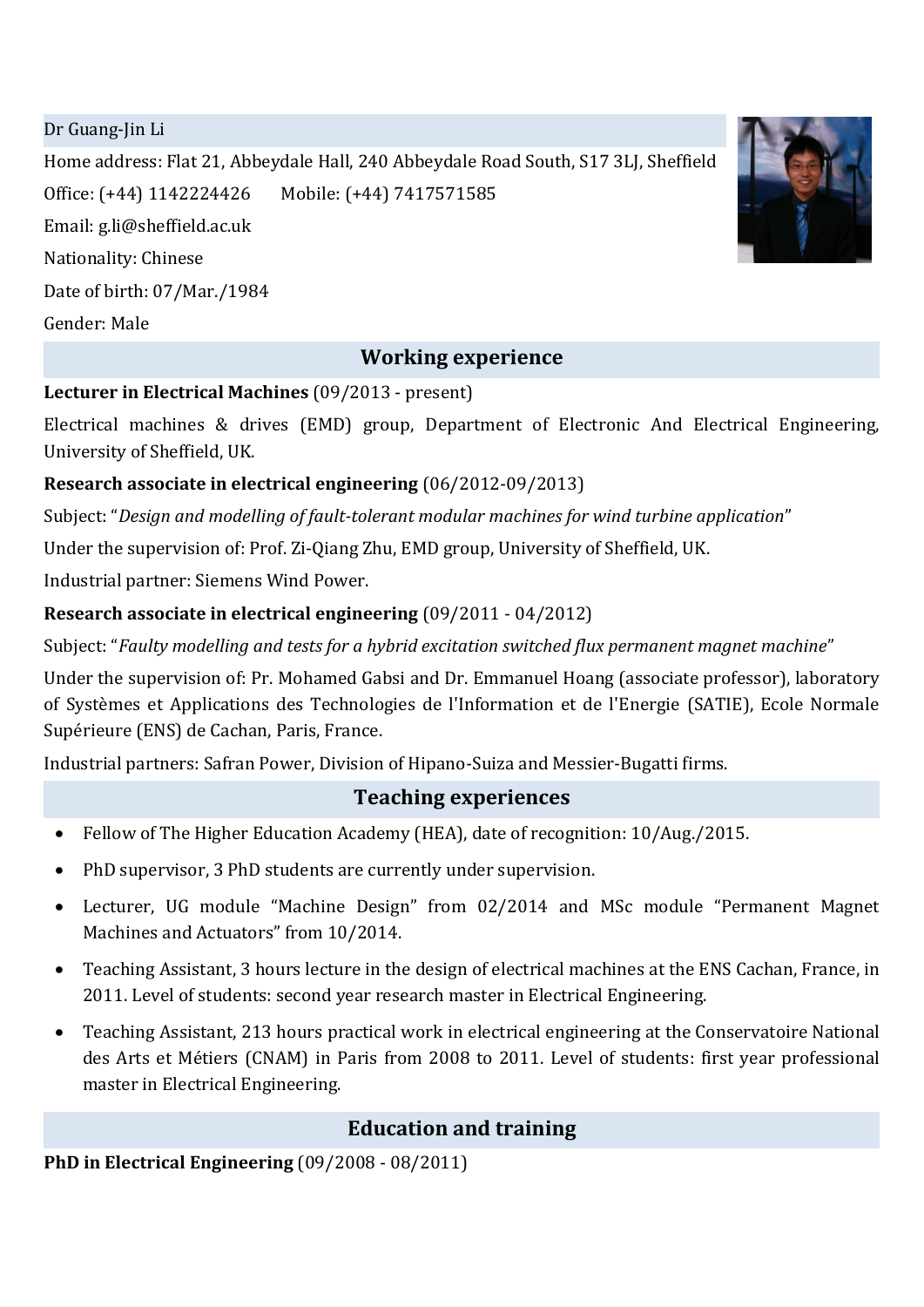Dr Guang-Jin Li

Home address: Flat 21, Abbeydale Hall, 240 Abbeydale Road South, S17 3LJ, Sheffield Office: (+44) 1142224426 Mobile: (+44) 7417571585 Email: [g.li@sheffield.ac.uk](mailto:g.li@sheffield.ac.uk) Nationality: Chinese Date of birth: 07/Mar./1984 Gender: Male

## **Working experience**

#### **Lecturer in Electrical Machines** (09/2013 - present)

Electrical machines & drives (EMD) group, Department of Electronic And Electrical Engineering, University of Sheffield, UK.

### **Research associate in electrical engineering** (06/2012-09/2013)

Subject: "*Design and modelling of fault-tolerant modular machines for wind turbine application*"

Under the supervision of: Prof. Zi-Qiang Zhu, EMD group, University of Sheffield, UK.

Industrial partner: Siemens Wind Power.

## **Research associate in electrical engineering** (09/2011 - 04/2012)

Subject: "*Faulty modelling and tests for a hybrid excitation switched flux permanent magnet machine*"

Under the supervision of: Pr. Mohamed Gabsi and Dr. Emmanuel Hoang (associate professor), laboratory of Systèmes et Applications des Technologies de l'Information et de l'Energie (SATIE), Ecole Normale Supérieure (ENS) de Cachan, Paris, France.

Industrial partners: Safran Power, Division of Hipano-Suiza and Messier-Bugatti firms.

# **Teaching experiences**

- Fellow of The Higher Education Academy (HEA), date of recognition: 10/Aug./2015.
- PhD supervisor, 3 PhD students are currently under supervision.
- Lecturer, UG module "Machine Design" from 02/2014 and MSc module "Permanent Magnet Machines and Actuators" from 10/2014.
- Teaching Assistant, 3 hours lecture in the design of electrical machines at the ENS Cachan, France, in 2011. Level of students: second year research master in Electrical Engineering.
- Teaching Assistant, 213 hours practical work in electrical engineering at the Conservatoire National des Arts et Métiers (CNAM) in Paris from 2008 to 2011. Level of students: first year professional master in Electrical Engineering.

# **Education and training**

**PhD in Electrical Engineering** (09/2008 - 08/2011)

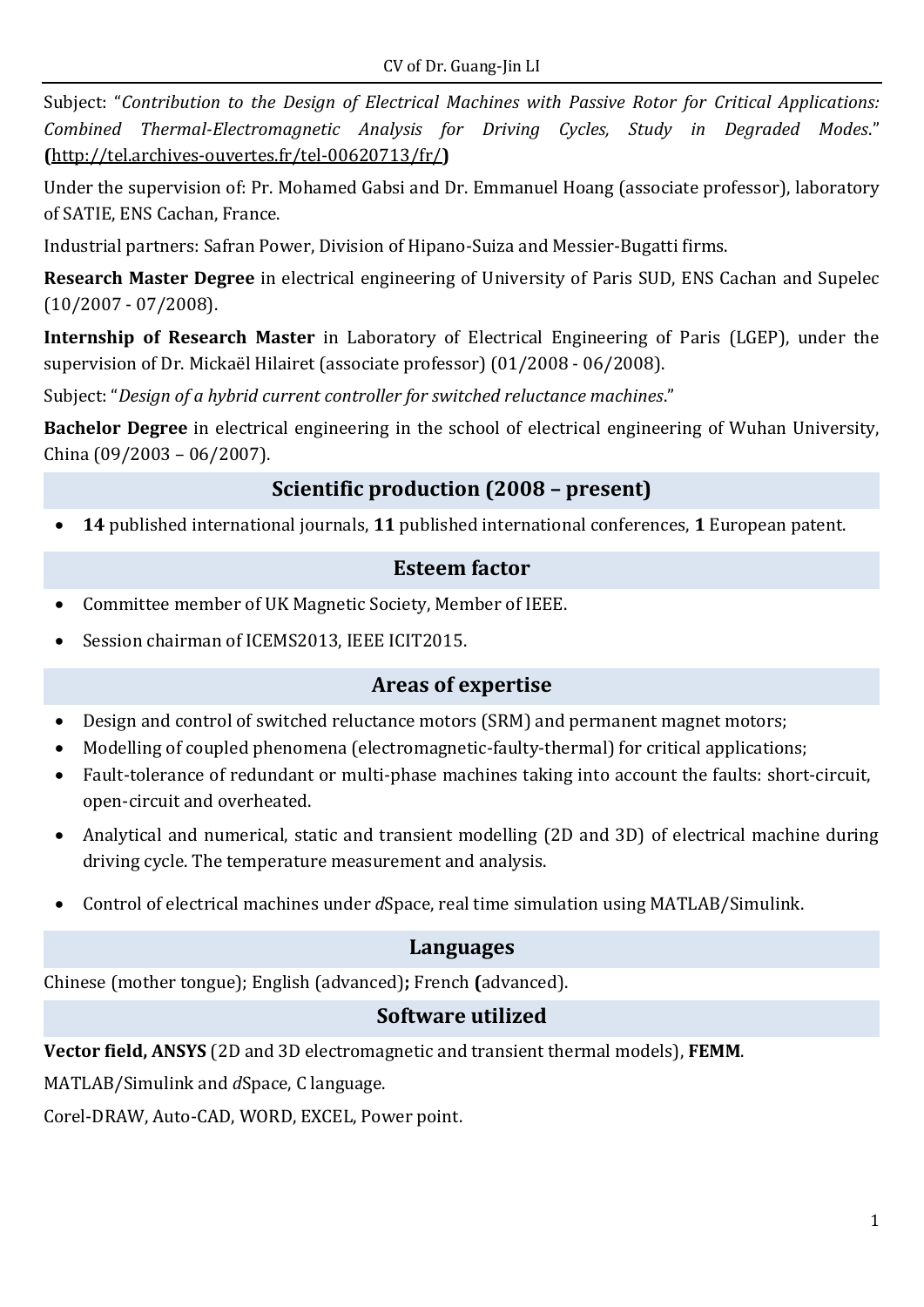Subject: "*Contribution to the Design of Electrical Machines with Passive Rotor for Critical Applications: Combined Thermal-Electromagnetic Analysis for Driving Cycles, Study in Degraded Modes*." **(**<http://tel.archives-ouvertes.fr/tel-00620713/fr/>**)**

Under the supervision of: Pr. Mohamed Gabsi and Dr. Emmanuel Hoang (associate professor), laboratory of SATIE, ENS Cachan, France.

Industrial partners: Safran Power, Division of Hipano-Suiza and Messier-Bugatti firms.

**Research Master Degree** in electrical engineering of University of Paris SUD, ENS Cachan and Supelec (10/2007 - 07/2008).

**Internship of Research Master** in Laboratory of Electrical Engineering of Paris (LGEP), under the supervision of Dr. [Mickaël Hilairet](http://www.lgep.supelec.fr/index.php?page=mickael-hilairet) (associate professor) (01/2008 - 06/2008).

Subject: "*Design of a hybrid current controller for switched reluctance machines*."

**Bachelor Degree** in electrical engineering in the school of electrical engineering of Wuhan University, China (09/2003 – 06/2007).

# **Scientific production (2008 – present)**

**14** published international journals, **11** published international conferences, **1** European patent.

## **Esteem factor**

- Committee member of UK Magnetic Society, Member of IEEE.
- Session chairman of ICEMS2013, IEEE ICIT2015.

#### **Areas of expertise**

- Design and control of switched reluctance motors (SRM) and permanent magnet motors;
- Modelling of coupled phenomena (electromagnetic-faulty-thermal) for critical applications;
- Fault-tolerance of redundant or multi-phase machines taking into account the faults: short-circuit, open-circuit and overheated.
- Analytical and numerical, static and transient modelling (2D and 3D) of electrical machine during driving cycle. The temperature measurement and analysis.
- Control of electrical machines under *d*Space, real time simulation using MATLAB/Simulink.

#### **Languages**

Chinese (mother tongue); English (advanced)**;** French **(**advanced).

## **Software utilized**

**Vector field, ANSYS** (2D and 3D electromagnetic and transient thermal models), **FEMM**.

MATLAB/Simulink and *d*Space, C language.

Corel-DRAW, Auto-CAD, WORD, EXCEL, Power point.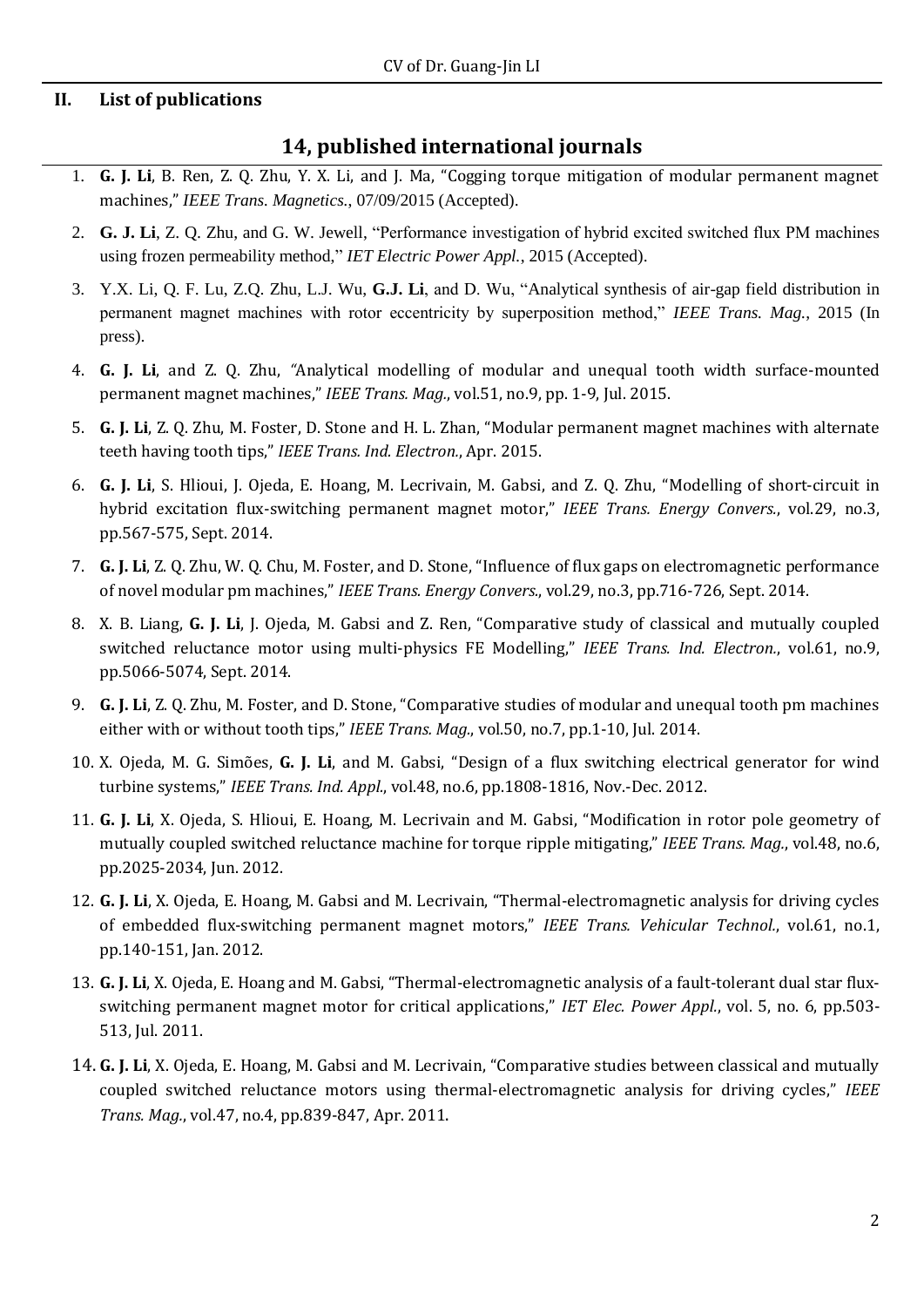#### **II. List of publications**

#### **14, published international journals**

- 1. **G. J. Li**, B. Ren, Z. Q. Zhu, Y. X. Li, and J. Ma, "Cogging torque mitigation of modular permanent magnet machines," *IEEE Trans. Magnetics.*, 07/09/2015 (Accepted).
- 2. **G. J. Li**, Z. Q. Zhu, and G. W. Jewell, "Performance investigation of hybrid excited switched flux PM machines using frozen permeability method," *IET Electric Power Appl.*, 2015 (Accepted).
- 3. Y.X. Li, Q. F. Lu, Z.Q. Zhu, L.J. Wu, **G.J. Li**, and D. Wu, "Analytical synthesis of air-gap field distribution in permanent magnet machines with rotor eccentricity by superposition method," *IEEE Trans. Mag.*, 2015 (In press).
- 4. **G. J. Li**, and Z. Q. Zhu, *"*Analytical modelling of modular and unequal tooth width surface-mounted permanent magnet machines," *IEEE Trans. Mag.*, vol.51, no.9, pp. 1-9, Jul. 2015.
- 5. **G. J. Li**, Z. Q. Zhu, M. Foster, D. Stone and H. L. Zhan, "Modular permanent magnet machines with alternate teeth having tooth tips," *IEEE Trans. Ind. Electron.*, Apr. 2015.
- 6. **G. J. Li**, S. Hlioui, J. Ojeda, E. Hoang, M. Lecrivain, M. Gabsi, and Z. Q. Zhu, "Modelling of short-circuit in hybrid excitation flux-switching permanent magnet motor," *IEEE Trans. Energy Convers.*, vol.29, no.3, pp.567-575, Sept. 2014.
- 7. **G. J. Li**, Z. Q. Zhu, W. Q. Chu, M. Foster, and D. Stone, "Influence of flux gaps on electromagnetic performance of novel modular pm machines," *IEEE Trans. Energy Convers.*, vol.29, no.3, pp.716-726, Sept. 2014.
- 8. X. B. Liang, **G. J. Li**, J. Ojeda, M. Gabsi and Z. Ren, "Comparative study of classical and mutually coupled switched reluctance motor using multi-physics FE Modelling," *IEEE Trans. Ind. Electron.*, vol.61, no.9, pp.5066-5074, Sept. 2014.
- 9. **G. J. Li**, Z. Q. Zhu, M. Foster, and D. Stone, "Comparative studies of modular and unequal tooth pm machines either with or without tooth tips," *IEEE Trans. Mag.*, vol.50, no.7, pp.1-10, Jul. 2014.
- 10. X. Ojeda, M. G. Simões, **G. J. Li**, and M. Gabsi, "Design of a flux switching electrical generator for wind turbine systems," *IEEE Trans. Ind. Appl.*, vol.48, no.6, pp.1808-1816, Nov.-Dec. 2012.
- 11. **G. J. Li**, X. Ojeda, S. Hlioui, E. Hoang, M. Lecrivain and M. Gabsi, "Modification in rotor pole geometry of mutually coupled switched reluctance machine for torque ripple mitigating," *IEEE Trans. Mag.*, vol.48, no.6, pp.2025-2034, Jun. 2012.
- 12. **G. J. Li**, X. Ojeda, E. Hoang, M. Gabsi and M. Lecrivain, "Thermal-electromagnetic analysis for driving cycles of embedded flux-switching permanent magnet motors," *IEEE Trans. Vehicular Technol.*, vol.61, no.1, pp.140-151, Jan. 2012.
- 13. **G. J. Li**, X. Ojeda, E. Hoang and M. Gabsi, "Thermal-electromagnetic analysis of a fault-tolerant dual star fluxswitching permanent magnet motor for critical applications," *IET Elec. Power Appl.*, vol. 5, no. 6, pp.503- 513, Jul. 2011.
- 14. **G. J. Li**, X. Ojeda, E. Hoang, M. Gabsi and M. Lecrivain, "Comparative studies between classical and mutually coupled switched reluctance motors using thermal-electromagnetic analysis for driving cycles," *IEEE Trans. Mag.*, vol.47, no.4, pp.839-847, Apr. 2011.